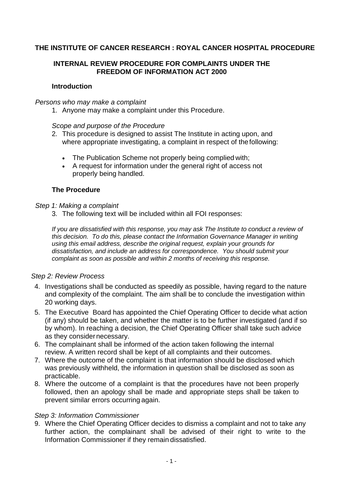# **THE INSTITUTE OF CANCER RESEARCH : ROYAL CANCER HOSPITAL PROCEDURE**

# **INTERNAL REVIEW PROCEDURE FOR COMPLAINTS UNDER THE FREEDOM OF INFORMATION ACT 2000**

## **Introduction**

#### *Persons who may make a complaint*

1. Anyone may make a complaint under this Procedure.

### *Scope and purpose of the Procedure*

- 2. This procedure is designed to assist The Institute in acting upon, and where appropriate investigating, a complaint in respect of the following:
	- The Publication Scheme not properly being complied with;
	- A request for information under the general right of access not properly being handled.

## **The Procedure**

#### *Step 1: Making a complaint*

3. The following text will be included within all FOI responses:

*If you are dissatisfied with this response, you may ask The Institute to conduct a review of this decision. To do this, please contact the Information Governance Manager in writing using this email address, describe the original request, explain your grounds for dissatisfaction, and include an address for correspondence. You should submit your complaint as soon as possible and within 2 months of receiving this response.*

#### *Step 2: Review Process*

- 4. Investigations shall be conducted as speedily as possible, having regard to the nature and complexity of the complaint. The aim shall be to conclude the investigation within 20 working days.
- 5. The Executive Board has appointed the Chief Operating Officer to decide what action (if any) should be taken, and whether the matter is to be further investigated (and if so by whom). In reaching a decision, the Chief Operating Officer shall take such advice as they considernecessary.
- 6. The complainant shall be informed of the action taken following the internal review. A written record shall be kept of all complaints and their outcomes.
- 7. Where the outcome of the complaint is that information should be disclosed which was previously withheld, the information in question shall be disclosed as soon as practicable.
- 8. Where the outcome of a complaint is that the procedures have not been properly followed, then an apology shall be made and appropriate steps shall be taken to prevent similar errors occurring again.

## *Step 3: Information Commissioner*

9. Where the Chief Operating Officer decides to dismiss a complaint and not to take any further action, the complainant shall be advised of their right to write to the Information Commissioner if they remain dissatisfied.